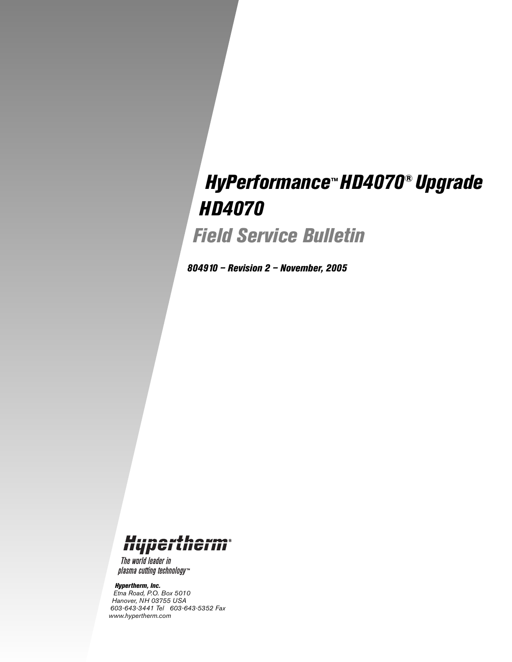# *HyPerformance™ HD4070® Upgrade HD4070*

*Field Service Bulletin*

*804910 – Revision 2 – November, 2005*

## Hypertherm

The world leader in plasma cutting technology™

#### *Hypertherm, Inc.*

*Etna Road, P.O. Box 5010 Hanover, NH 03755 USA 603-643-3441 Tel 603-643-5352 Fax www.hypertherm.com*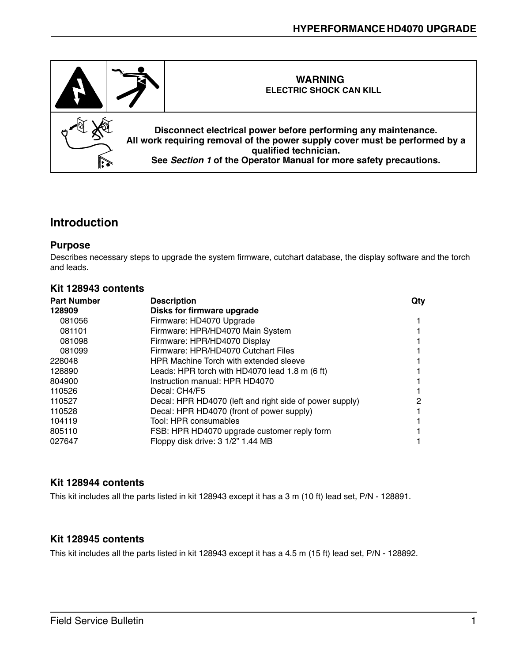

#### **Introduction**

#### **Purpose**

Describes necessary steps to upgrade the system firmware, cutchart database, the display software and the torch and leads.

#### **Kit 128943 contents**

| <b>Part Number</b> | <b>Description</b>                                       | Qty |
|--------------------|----------------------------------------------------------|-----|
| 128909             | Disks for firmware upgrade                               |     |
| 081056             | Firmware: HD4070 Upgrade                                 |     |
| 081101             | Firmware: HPR/HD4070 Main System                         |     |
| 081098             | Firmware: HPR/HD4070 Display                             |     |
| 081099             | Firmware: HPR/HD4070 Cutchart Files                      |     |
| 228048             | <b>HPR Machine Torch with extended sleeve</b>            |     |
| 128890             | Leads: HPR torch with HD4070 lead 1.8 m $(6 \text{ ft})$ |     |
| 804900             | Instruction manual: HPR HD4070                           |     |
| 110526             | Decal: CH4/F5                                            |     |
| 110527             | Decal: HPR HD4070 (left and right side of power supply)  | 2   |
| 110528             | Decal: HPR HD4070 (front of power supply)                |     |
| 104119             | Tool: HPR consumables                                    |     |
| 805110             | FSB: HPR HD4070 upgrade customer reply form              |     |
| 027647             | Floppy disk drive: 3 1/2" 1.44 MB                        |     |

#### **Kit 128944 contents**

This kit includes all the parts listed in kit 128943 except it has a 3 m (10 ft) lead set, P/N - 128891.

#### **Kit 128945 contents**

This kit includes all the parts listed in kit 128943 except it has a 4.5 m (15 ft) lead set, P/N - 128892.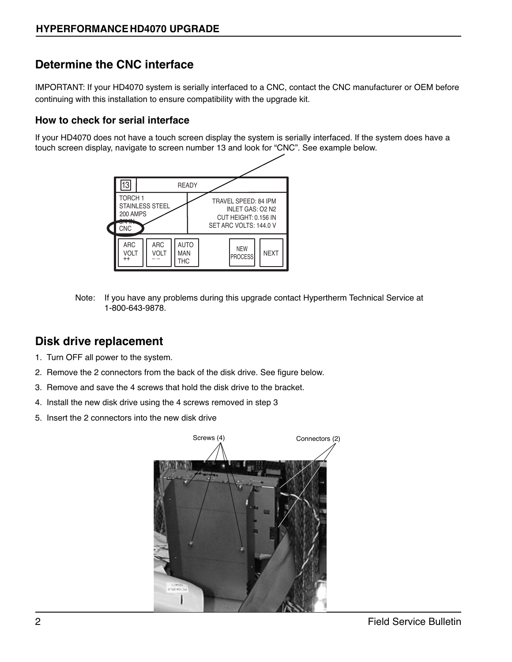### **Determine the CNC interface**

IMPORTANT: If your HD4070 system is serially interfaced to a CNC, contact the CNC manufacturer or OEM before continuing with this installation to ensure compatibility with the upgrade kit.

#### **How to check for serial interface**

If your HD4070 does not have a touch screen display the system is serially interfaced. If the system does have a touch screen display, navigate to screen number 13 and look for "CNC". See example below.



Note: If you have any problems during this upgrade contact Hypertherm Technical Service at 1-800-643-9878.

#### **Disk drive replacement**

- 1. Turn OFF all power to the system.
- 2. Remove the 2 connectors from the back of the disk drive. See figure below.
- 3. Remove and save the 4 screws that hold the disk drive to the bracket.
- 4. Install the new disk drive using the 4 screws removed in step 3
- 5. Insert the 2 connectors into the new disk drive

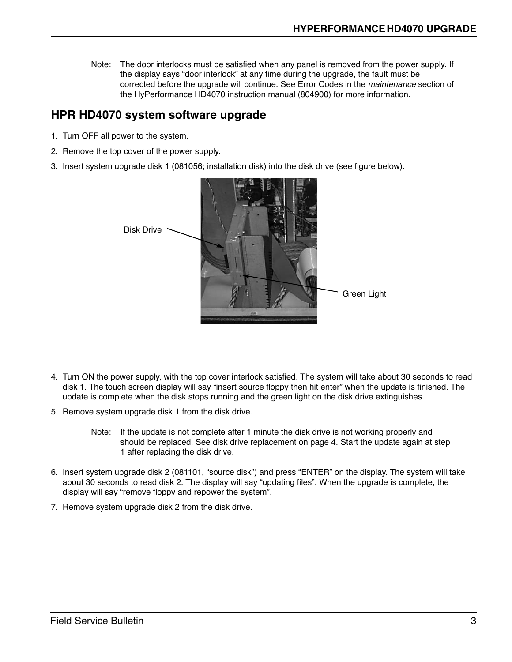Note: The door interlocks must be satisfied when any panel is removed from the power supply. If the display says "door interlock" at any time during the upgrade, the fault must be corrected before the upgrade will continue. See Error Codes in the maintenance section of the HyPerformance HD4070 instruction manual (804900) for more information.

#### **HPR HD4070 system software upgrade**

- 1. Turn OFF all power to the system.
- 2. Remove the top cover of the power supply.
- 3. Insert system upgrade disk 1 (081056; installation disk) into the disk drive (see figure below).



- 4. Turn ON the power supply, with the top cover interlock satisfied. The system will take about 30 seconds to read disk 1. The touch screen display will say "insert source floppy then hit enter" when the update is finished. The update is complete when the disk stops running and the green light on the disk drive extinguishes.
- 5. Remove system upgrade disk 1 from the disk drive.
	- Note: If the update is not complete after 1 minute the disk drive is not working properly and should be replaced. See disk drive replacement on page 4. Start the update again at step 1 after replacing the disk drive.
- 6. Insert system upgrade disk 2 (081101, "source disk") and press "ENTER" on the display. The system will take about 30 seconds to read disk 2. The display will say "updating files". When the upgrade is complete, the display will say "remove floppy and repower the system".
- 7. Remove system upgrade disk 2 from the disk drive.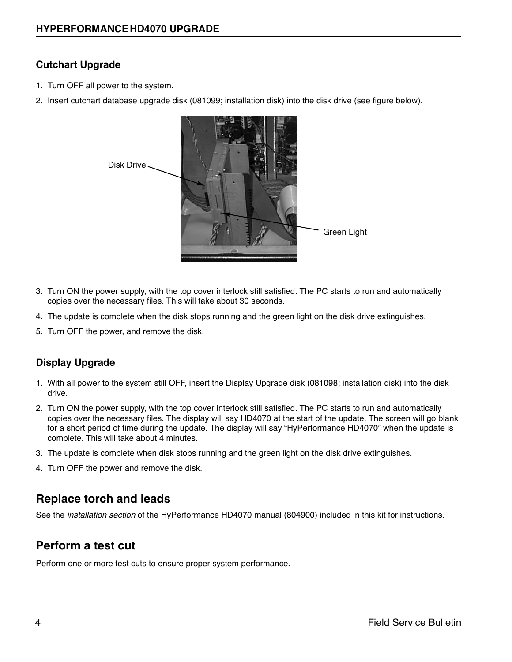#### **Cutchart Upgrade**

- 1. Turn OFF all power to the system.
- 2. Insert cutchart database upgrade disk (081099; installation disk) into the disk drive (see figure below).



- 3. Turn ON the power supply, with the top cover interlock still satisfied. The PC starts to run and automatically copies over the necessary files. This will take about 30 seconds.
- 4. The update is complete when the disk stops running and the green light on the disk drive extinguishes.
- 5. Turn OFF the power, and remove the disk.

#### **Display Upgrade**

- 1. With all power to the system still OFF, insert the Display Upgrade disk (081098; installation disk) into the disk drive.
- 2. Turn ON the power supply, with the top cover interlock still satisfied. The PC starts to run and automatically copies over the necessary files. The display will say HD4070 at the start of the update. The screen will go blank for a short period of time during the update. The display will say "HyPerformance HD4070" when the update is complete. This will take about 4 minutes.
- 3. The update is complete when disk stops running and the green light on the disk drive extinguishes.
- 4. Turn OFF the power and remove the disk.

#### **Replace torch and leads**

See the *installation section* of the HyPerformance HD4070 manual (804900) included in this kit for instructions.

#### **Perform a test cut**

Perform one or more test cuts to ensure proper system performance.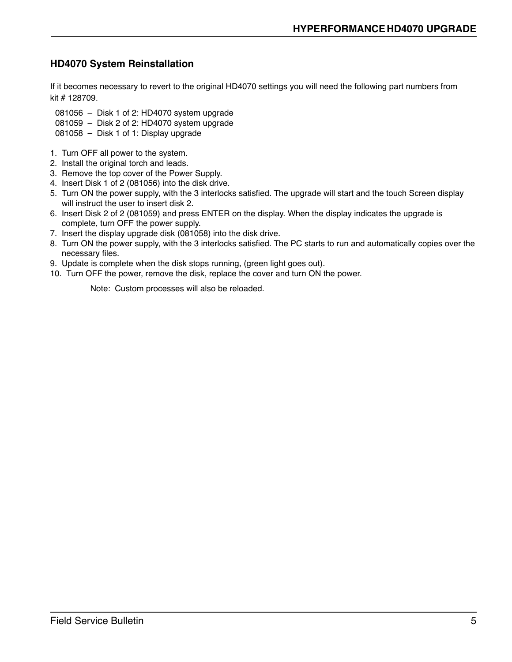#### **HD4070 System Reinstallation**

If it becomes necessary to revert to the original HD4070 settings you will need the following part numbers from kit # 128709.

081056 – Disk 1 of 2: HD4070 system upgrade

- 081059 Disk 2 of 2: HD4070 system upgrade
- 081058 Disk 1 of 1: Display upgrade
- 1. Turn OFF all power to the system.
- 2. Install the original torch and leads.
- 3. Remove the top cover of the Power Supply.
- 4. Insert Disk 1 of 2 (081056) into the disk drive.
- 5. Turn ON the power supply, with the 3 interlocks satisfied. The upgrade will start and the touch Screen display will instruct the user to insert disk 2.
- 6. Insert Disk 2 of 2 (081059) and press ENTER on the display. When the display indicates the upgrade is complete, turn OFF the power supply.
- 7. Insert the display upgrade disk (081058) into the disk drive.
- 8. Turn ON the power supply, with the 3 interlocks satisfied. The PC starts to run and automatically copies over the necessary files.
- 9. Update is complete when the disk stops running, (green light goes out).
- 10. Turn OFF the power, remove the disk, replace the cover and turn ON the power.

Note: Custom processes will also be reloaded.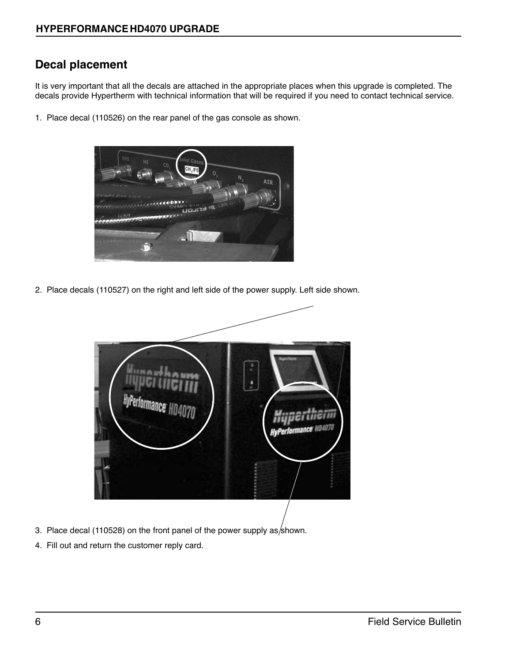#### **Decal placement**

It is very important that all the decals are attached in the appropriate places when this upgrade is completed. The decals provide Hypertherm with technical information that will be required if you need to contact technical service.

1. Place decal (110526) on the rear panel of the gas console as shown.



2. Place decals (110527) on the right and left side of the power supply. Left side shown.



- 3. Place decal (110528) on the front panel of the power supply as/shown.
- 4. Fill out and return the customer reply card.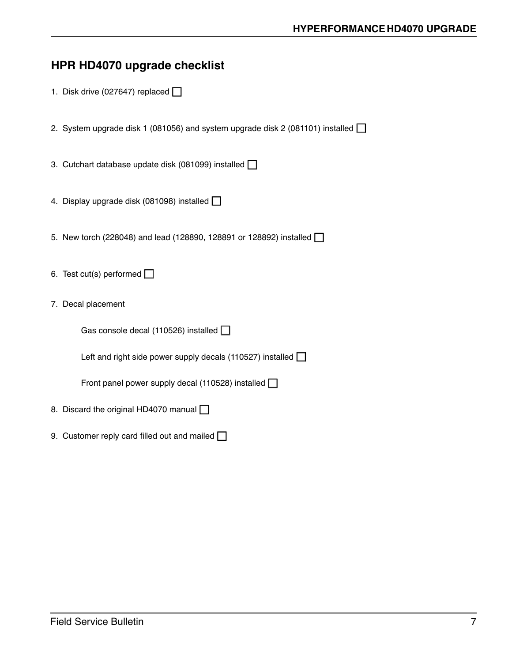#### **HPR HD4070 upgrade checklist**

- 1. Disk drive (027647) replaced  $\Box$
- 2. System upgrade disk 1 (081056) and system upgrade disk 2 (081101) installed  $\square$
- 3. Cutchart database update disk (081099) installed  $\Box$
- 4. Display upgrade disk (081098) installed  $\Box$
- 5. New torch (228048) and lead (128890, 128891 or 128892) installed  $\Box$
- 6. Test cut(s) performed  $\Box$
- 7. Decal placement

Gas console decal (110526) installed  $\Box$ 

Left and right side power supply decals (110527) installed  $\Box$ 

Front panel power supply decal (110528) installed  $\Box$ 

- 8. Discard the original HD4070 manual  $\Box$
- 9. Customer reply card filled out and mailed  $\Box$